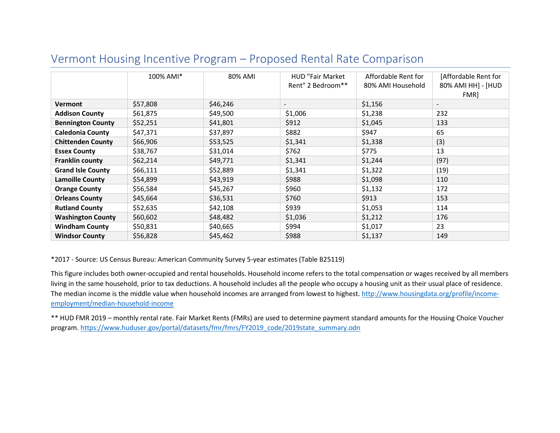|                          | 100% AMI* | 80% AMI  | <b>HUD "Fair Market</b>  | Affordable Rent for | [Affordable Rent for     |
|--------------------------|-----------|----------|--------------------------|---------------------|--------------------------|
|                          |           |          | Rent" 2 Bedroom**        | 80% AMI Household   | 80% AMI HH] - [HUD       |
|                          |           |          |                          |                     | FMR]                     |
|                          |           |          |                          |                     |                          |
| <b>Vermont</b>           | \$57,808  | \$46,246 | $\overline{\phantom{a}}$ | \$1,156             | $\overline{\phantom{a}}$ |
| <b>Addison County</b>    | \$61,875  | \$49,500 | \$1,006                  | \$1,238             | 232                      |
| <b>Bennington County</b> | \$52,251  | \$41,801 | \$912                    | \$1,045             | 133                      |
| <b>Caledonia County</b>  | \$47,371  | \$37,897 | \$882                    | \$947               | 65                       |
| <b>Chittenden County</b> | \$66,906  | \$53,525 | \$1,341                  | \$1,338             | (3)                      |
| <b>Essex County</b>      | \$38,767  | \$31,014 | \$762                    | \$775               | 13                       |
| Franklin county          | \$62,214  | \$49,771 | \$1,341                  | \$1,244             | (97)                     |
| <b>Grand Isle County</b> | \$66,111  | \$52,889 | \$1,341                  | \$1,322             | (19)                     |
| <b>Lamoille County</b>   | \$54,899  | \$43,919 | \$988                    | \$1,098             | 110                      |
| <b>Orange County</b>     | \$56,584  | \$45,267 | \$960                    | \$1,132             | 172                      |
| <b>Orleans County</b>    | \$45,664  | \$36,531 | \$760                    | \$913               | 153                      |
| <b>Rutland County</b>    | \$52,635  | \$42,108 | \$939                    | \$1,053             | 114                      |
| <b>Washington County</b> | \$60,602  | \$48,482 | \$1,036                  | \$1,212             | 176                      |
| <b>Windham County</b>    | \$50,831  | \$40,665 | \$994                    | \$1,017             | 23                       |
| <b>Windsor County</b>    | \$56,828  | \$45,462 | \$988                    | \$1,137             | 149                      |

# Vermont Housing Incentive Program – Proposed Rental Rate Comparison

\*2017 - Source: US Census Bureau: American Community Survey 5-year estimates (Table B25119)

This figure includes both owner-occupied and rental households. Household income refers to the total compensation or wages received by all members living in the same household, prior to tax deductions. A household includes all the people who occupy a housing unit as their usual place of residence. The median income is the middle value when household incomes are arranged from lowest to highest. [http://www.housingdata.org/profile/income](http://www.housingdata.org/profile/income-employment/median-household-income)[employment/median-household-income](http://www.housingdata.org/profile/income-employment/median-household-income)

\*\* HUD FMR 2019 – monthly rental rate. Fair Market Rents (FMRs) are used to determine payment standard amounts for the Housing Choice Voucher program. [https://www.huduser.gov/portal/datasets/fmr/fmrs/FY2019\\_code/2019state\\_summary.odn](https://www.huduser.gov/portal/datasets/fmr/fmrs/FY2019_code/2019state_summary.odn)